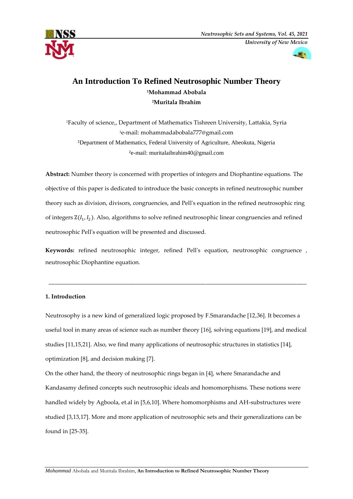



# **An Introduction To Refined Neutrosophic Number Theory <sup>1</sup>Mohammad Abobala <sup>2</sup>Muritala Ibrahim**

Faculty of science,, Department of Mathematics Tishreen University, Lattakia, Syria e-mail: [mohammadabobala777@gmail.com](mailto:mohammadabobala777@gmail.com) Department of Mathematics, Federal University of Agriculture, Abeokuta, Nigeria e-mail: muritalaibrahim40@gmail.com

**Abstract:** Number theory is concerned with properties of integers and Diophantine equations. The objective of this paper is dedicated to introduce the basic concepts in refined neutrosophic number theory such as division, divisors, congruencies, and Pell's equation in the refined neutrosophic ring of integers  $Z(I_1, I_2)$ . Also, algorithms to solve refined neutrosophic linear congruencies and refined neutrosophic Pell's equation will be presented and discussed.

**Keywords:** refined neutrosophic integer, refined Pell's equation, neutrosophic congruence , neutrosophic Diophantine equation.

**\_\_\_\_\_\_\_\_\_\_\_\_\_\_\_\_\_\_\_\_\_\_\_\_\_\_\_\_\_\_\_\_\_\_\_\_\_\_\_\_\_\_\_\_\_\_\_\_\_\_\_\_\_\_\_\_\_\_\_\_\_\_\_\_\_\_\_\_\_\_\_\_\_\_\_\_\_\_\_\_\_\_\_\_\_\_\_**

# **1. Introduction**

Neutrosophy is a new kind of generalized logic proposed by F.Smarandache [12,36]. It becomes a useful tool in many areas of science such as number theory [16], solving equations [19], and medical studies [11,15,21]. Also, we find many applications of neutrosophic structures in statistics [14], optimization [8], and decision making [7].

On the other hand, the theory of neutrosophic rings began in [4], where Smarandache and Kandasamy defined concepts such neutrosophic ideals and homomorphisms. These notions were handled widely by Agboola, et.al in [5,6,10]. Where homomorphisms and AH-substructures were studied [3,13,17]. More and more application of neutrosophic sets and their generalizations can be found in [25-35].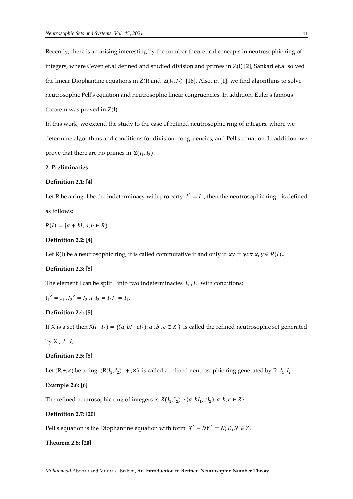Recently, there is an arising interesting by the number theoretical concepts in neutrosophic ring of integers, where Ceven et.al defined and studied division and primes in Z(I) [2], Sankari et.al solved the linear Diophantine equations in  $Z(I)$  and  $Z(I_1, I_2)$  [16]. Also, in [1], we find algorithms to solve neutrosophic Pell's equation and neutrosophic linear congruencies. In addition, Euler's famous theorem was proved in Z(I).

In this work, we extend the study to the case of refined neutrosophic ring of integers, where we determine algorithms and conditions for division, congruencies, and Pell's equation. In addition, we prove that there are no primes in  $Z(I_1, I_2)$ .

# **2. Preliminaries**

### **Definition 2.1: [4]**

Let R be a ring, I be the indeterminacy with property  $I^2 = I$ , then the neutrosophic ring is defined as follows:

 $R(I) = \{a + bl; a, b \in R\}.$ 

# **Definition 2.2: [4]**

Let R(I) be a neutrosophic ring, it is called commutative if and only if  $xy = yx \forall x, y \in R(I)$ .

# **Definition 2.3: [5]**

The element I can be split into two indeterminacies  $I_1$ ,  $I_2$  with conditions:

 $I_1^2 = I_1$ ,  $I_2^2 = I_2$ ,  $I_1 I_2 = I_2 I_1 = I_1$ .

# **Definition 2.4: [5]**

If X is a set then  $X(I_1, I_2) = \{(a, bl_1, cl_2): a, b, c \in X\}$  is called the refined neutrosophic set generated

by X,  $I_1, I_2$ .

# **Definition 2.5: [5]**

Let  $(R, +, \times)$  be a ring,  $(R(I_1, I_2), +, \times)$  is called a refined neutrosophic ring generated by R ,  $I_1, I_2$ .

# **Example 2.6: [6]**

The refined neutrosophic ring of integers is  $Z(I_1, I_2) = \{(a, bl_1, cl_2); a, b, c \in Z\}$ .

#### **Definition 2.7: [20]**

Pell's equation is the Diophantine equation with form  $X^2 - DY^2 = N$ ;  $D, N \in \mathbb{Z}$ .

#### **Theorem 2.8: [20]**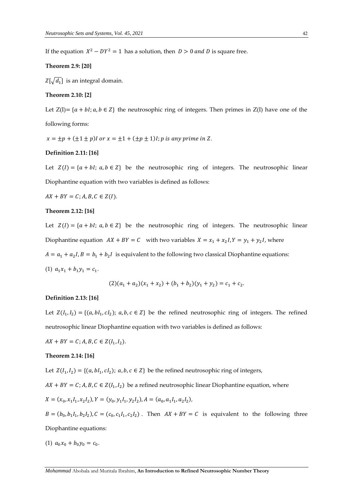If the equation  $X^2 - DY^2 = 1$  has a solution, then  $D > 0$  and D is square free.

### **Theorem 2.9: [20]**

 $Z[\sqrt{d_1}]$  is an integral domain.

### **Theorem 2.10: [2]**

Let  $Z(I) = \{a + bl; a, b \in Z\}$  the neutrosophic ring of integers. Then primes in  $Z(I)$  have one of the following forms:

 $x = \pm p + (\pm 1 \pm p)I$  or  $x = \pm 1 + (\pm p \pm 1)I$ ; p is any prime in Z.

# **Definition 2.11: [16]**

Let  $Z(I) = \{a + bl; a, b \in Z\}$  be the neutrosophic ring of integers. The neutrosophic linear Diophantine equation with two variables is defined as follows:

 $AX + BY = C; A, B, C \in Z(I).$ 

### **Theorem 2.12: [16]**

Let  $Z(I) = \{a + bl; a, b \in Z\}$  be the neutrosophic ring of integers. The neutrosophic linear Diophantine equation  $AX + BY = C$  with two variables  $X = x_1 + x_2 I$ ,  $Y = y_1 + y_2 I$ , where  $A = a_1 + a_2 I$ ,  $B = b_1 + b_2 I$  is equivalent to the following two classical Diophantine equations:

(1)  $a_1x_1 + b_1y_1 = c_1$ .

$$
(2)(a_1 + a_2)(x_1 + x_2) + (b_1 + b_2)(y_1 + y_2) = c_1 + c_2.
$$

### **Definition 2.13: [16]**

Let  $Z(I_1, I_2) = \{(a, bl_1, cl_2); a, b, c \in \mathbb{Z}\}\$  be the refined neutrosophic ring of integers. The refined neutrosophic linear Diophantine equation with two variables is defined as follows:

 $AX + BY = C; A, B, C \in Z(I_1, I_2).$ 

#### **Theorem 2.14: [16]**

Let  $Z(I_1, I_2) = \{(a, bl_1, cl_2); a, b, c \in Z\}$  be the refined neutrosophic ring of integers,

 $AX + BY = C$ ;  $A, B, C \in Z(I_1, I_2)$  be a refined neutrosophic linear Diophantine equation, where

$$
X = (x_0, x_1I_1, x_2I_2), Y = (y_0, y_1I_1, y_2I_2), A = (a_0, a_1I_1, a_2I_2),
$$

 $B = (b_0, b_1I_1, b_2I_2), C = (c_0, c_1I_1, c_2I_2)$ . Then  $AX + BY = C$  is equivalent to the following three Diophantine equations:

(1)  $a_0x_0 + b_0y_0 = c_0$ .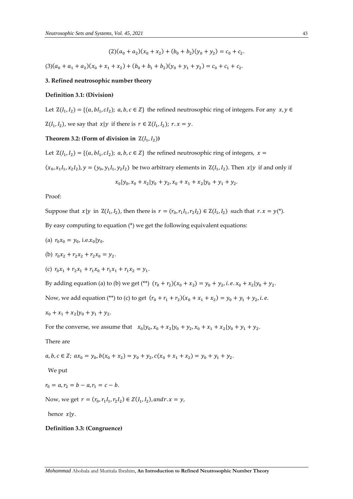$(2)(a_0 + a_2)(x_0 + x_2) + (b_0 + b_2)(y_0 + y_2) = c_0 + c_2.$ 

 $(3)(a_0 + a_1 + a_2)(x_0 + x_1 + x_2) + (b_0 + b_1 + b_2)(y_0 + y_1 + y_2) = c_0 + c_1 + c_2.$ 

# **3. Refined neutrosophic number theory**

#### **Definition 3.1: (Division)**

Let  $Z(I_1, I_2) = \{(a, bl_1, cl_2); a, b, c \in Z\}$  the refined neutrosophic ring of integers. For any  $x, y \in$  $Z(I_1, I_2)$ , we say that  $x|y$  if there is  $r \in Z(I_1, I_2)$ ;  $r \cdot x = y$ .

# **Theorem 3.2: (Form of division in**  $Z(I_1, I_2)$ )

Let  $Z(I_1, I_2) = \{(a, bl_1, cl_2); a, b, c \in Z\}$  the refined neutrosophic ring of integers,  $x =$ 

 $(x_0, x_1I_1, x_2I_2)$ ,  $y = (y_0, y_1I_1, y_2I_2)$  be two arbitrary elements in  $Z(I_1, I_2)$ . Then  $x|y$  if and only if

$$
x_0|y_0, x_0 + x_2|y_0 + y_2, x_0 + x_1 + x_2|y_0 + y_1 + y_2.
$$

Proof:

Suppose that 
$$
x|y
$$
 in  $Z(I_1, I_2)$ , then there is  $r = (r_0, r_1I_1, r_2I_2) \in Z(I_1, I_2)$  such that  $r \cdot x = y^*$ .

By easy computing to equation (\*) we get the following equivalent equations:

- (a)  $r_0 x_0 = y_0$ , i.e. $x_0 | y_0$ .
- (b)  $r_0x_2 + r_2x_2 + r_2x_0 = y_2$ .
- (c)  $r_0x_1 + r_2x_1 + r_1x_0 + r_1x_1 + r_1x_2 = y_1$ .

By adding equation (a) to (b) we get (\*\*)  $(r_0 + r_2)(x_0 + x_2) = y_0 + y_2$ , *i.e.*  $x_0 + x_2/y_0 + y_2$ .

Now, we add equation (\*\*) to (c) to get  $(r_0 + r_1 + r_2)(x_0 + x_1 + x_2) = y_0 + y_1 + y_2$ , *i.e.* 

$$
x_0 + x_1 + x_2 \vert y_0 + y_1 + y_2.
$$

For the converse, we assume that  $x_0 | y_0, x_0 + x_2 | y_0 + y_2, x_0 + x_1 + x_2 | y_0 + y_1 + y_2$ .

There are

 $a, b, c \in \mathbb{Z}$ ;  $ax_0 = y_0, b(x_0 + x_2) = y_0 + y_2, c(x_0 + x_1 + x_2) = y_0 + y_1 + y_2$ .

We put

 $r_0 = a, r_2 = b - a, r_1 = c - b.$ 

Now, we get  $r = (r_0, r_1I_1, r_2I_2) \in Z(I_1, I_2)$ , and  $r \cdot x = y$ ,

hence  $x|y$ .

#### **Definition 3.3: (Congruence)**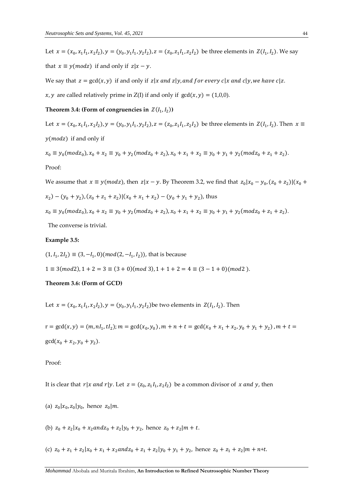Let  $x = (x_0, x_1I_1, x_2I_2), y = (y_0, y_1I_1, y_2I_2), z = (z_0, z_1I_1, z_2I_2)$  be three elements in  $Z(I_1, I_2)$ . We say that  $x \equiv y (mod z)$  if and only if  $z | x - y$ .

We say that  $z = \gcd(x, y)$  if and only if  $z | x$  and  $z | y$ , and for every  $c | x$  and  $c | y$ , we have  $c | z$ .

x, y are called relatively prime in  $Z(I)$  if and only if  $gcd(x, y) = (1,0,0)$ .

Theorem 3.4: (Form of congruencies in  $Z(I_1,I_2)$ )

Let  $x = (x_0, x_1I_1, x_2I_2), y = (y_0, y_1I_1, y_2I_2), z = (z_0, z_1I_1, z_2I_2)$  be three elements in  $Z(I_1, I_2)$ . Then  $x \equiv$  $y (mod z)$  if and only if

 $x_0 \equiv y_0 (mod z_0), x_0 + x_2 \equiv y_0 + y_2 (mod z_0 + z_2), x_0 + x_1 + x_2 \equiv y_0 + y_1 + y_2 (mod z_0 + z_1 + z_2).$ Proof:

We assume that  $x \equiv y (mod z)$ , then  $|z - y|$ . By Theorem 3.2, we find that  $|z_0(x_0 - y_0, (z_0 + z_2)|)(x_0 + z_0)$ 

$$
x_2
$$
 -  $(y_0 + y_2)$ ,  $(z_0 + z_1 + z_2)$  |  $(x_0 + x_1 + x_2)$  -  $(y_0 + y_1 + y_2)$ , thus

$$
x_0 \equiv y_0 (mod z_0), x_0 + x_2 \equiv y_0 + y_2 (mod z_0 + z_2), x_0 + x_1 + x_2 \equiv y_0 + y_1 + y_2 (mod z_0 + z_1 + z_2).
$$

The converse is trivial.

### **Example 3.5:**

$$
(1, I_1, 2I_2) \equiv (3, -I_1, 0) (mod(2, -I_1, I_2)),
$$
 that is because  

$$
1 \equiv 3 (mod 2), 1 + 2 = 3 \equiv (3 + 0) (mod 3), 1 + 1 + 2 = 4 \equiv (3 - 1 + 0) (mod 2).
$$

### **Theorem 3.6: (Form of GCD)**

Let  $x = (x_0, x_1I_1, x_2I_2), y = (y_0, y_1I_1, y_2I_2)$ be two elements in  $Z(I_1, I_2)$ . Then

 $r = \gcd(x, y) = (m, nI_1, tI_2); m = \gcd(x_0, y_0), m + n + t = \gcd(x_0 + x_1 + x_2, y_0 + y_1 + y_2), m + t =$  $gcd(x_0 + x_2, y_0 + y_2).$ 

Proof:

It is clear that  $r | x$  and  $r | y$ . Let  $z = (z_0, z_1 I_1, z_2 I_2)$  be a common divisor of  $x$  and  $y$ , then

(a)  $z_0 | x_0, z_0 | y_0$ , hence  $z_0 | m$ .

(b)  $z_0 + z_2 | x_0 + x_2 \text{ and } z_0 + z_2 | y_0 + y_2$ , hence  $z_0 + z_2 | m + t$ .

(c)  $z_0 + z_1 + z_2 | x_0 + x_1 + x_2 \text{ and } z_0 + z_1 + z_2 | y_0 + y_1 + y_2$ , hence  $z_0 + z_1 + z_2 | m + n + t$ .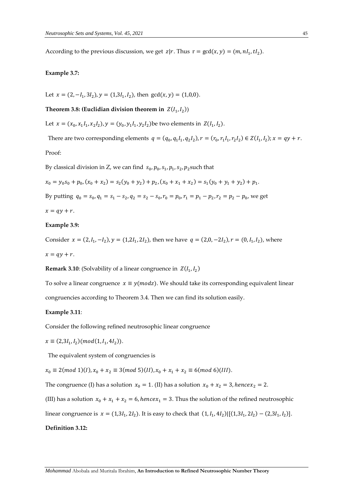According to the previous discussion, we get  $z | r$ . Thus  $r = \gcd(x, y) = (m, nI_1, tI_2)$ .

#### **Example 3.7:**

Let  $x = (2, -I_1, 3I_2), y = (1,3I_1, I_2)$ , then  $gcd(x, y) = (1,0,0)$ .

Theorem 3.8: (Euclidian division theorem in  $\ Z(I_1,I_2))$ 

Let  $x = (x_0, x_1I_1, x_2I_2), y = (y_0, y_1I_1, y_2I_2)$ be two elements in  $Z(I_1, I_2)$ .

There are two corresponding elements  $q = (q_0, q_1I_1, q_2I_2), r = (r_0, r_1I_1, r_2I_2) \in Z(I_1, I_2); x = qy + r$ .

Proof:

By classical division in Z, we can find  $s_0, p_0, s_1, p_1, s_2, p_2$ such that

$$
x_0 = y_0 s_0 + p_0, (x_0 + x_2) = s_2(y_0 + y_2) + p_2, (x_0 + x_1 + x_2) = s_1(y_0 + y_1 + y_2) + p_1.
$$

By putting  $q_0 = s_0$ ,  $q_1 = s_1 - s_2$ ,  $q_2 = s_2 - s_0$ ,  $r_0 = p_0$ ,  $r_1 = p_1 - p_2$ ,  $r_2 = p_2 - p_0$ , we get

$$
x = qy + r.
$$

# **Example 3.9:**

Consider  $x = (2, I_1, -I_2), y = (1, 2I_1, 2I_2)$ , then we have  $q = (2, 0, -2I_2), r = (0, I_1, I_2)$ , where

 $x = qy + r$ .

**Remark 3.10**: (Solvability of a linear congruence in  $Z(I_1, I_2)$ 

To solve a linear congruence  $x \equiv y (mod z)$ . We should take its corresponding equivalent linear congruencies according to Theorem 3.4. Then we can find its solution easily.

### **Example 3.11**:

Consider the following refined neutrosophic linear congruence

$$
x \equiv (2,3I_1,I_2)(mod(1,I_1,4I_2)).
$$

The equivalent system of congruencies is

 $x_0 \equiv 2 \pmod{1}(I), x_0 + x_2 \equiv 3 \pmod{5}(II), x_0 + x_1 + x_2 \equiv 6 \pmod{6}(III).$ 

The congruence (I) has a solution  $x_0 = 1$ . (II) has a solution  $x_0 + x_2 = 3$ , hence  $x_2 = 2$ .

(III) has a solution  $x_0 + x_1 + x_2 = 6$ , *hencex*<sub>1</sub> = 3. Thus the solution of the refined neutrosophic

linear congruence is  $x = (1,3I_1, 2I_2)$ . It is easy to check that  $(1, I_1, 4I_2) | [(1,3I_1, 2I_2) - (2,3I_1, I_2)].$ 

# **Definition 3.12:**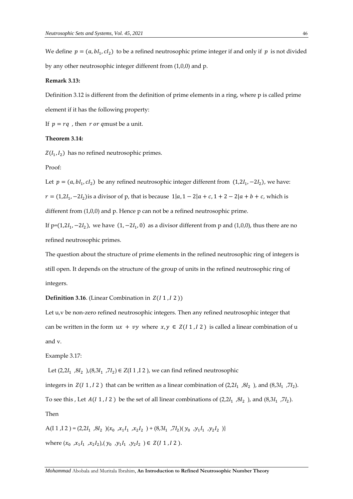We define  $p = (a, bl_1, cl_2)$  to be a refined neutrosophic prime integer if and only if p is not divided by any other neutrosophic integer different from (1,0,0) and p.

### **Remark 3.13:**

Definition 3.12 is different from the definition of prime elements in a ring, where p is called prime element if it has the following property:

If  $p = rq$ , then  $r$  or qmust be a unit.

# **Theorem 3.14:**

 $Z(I_1, I_2)$  has no refined neutrosophic primes.

Proof:

Let  $p = (a, bI_1, cI_2)$  be any refined neutrosophic integer different from  $(1, 2I_1, -2I_2)$ , we have:  $r = (1,2I_1, -2I_2)$  is a divisor of p, that is because  $1|a, 1 - 2|a + c, 1 + 2 - 2|a + b + c$ , which is different from (1,0,0) and p. Hence p can not be a refined neutrosophic prime.

If  $p=(1,2I_1, -2I_2)$ , we have  $(1, -2I_1, 0)$  as a divisor different from p and  $(1,0,0)$ , thus there are no refined neutrosophic primes.

The question about the structure of prime elements in the refined neutrosophic ring of integers is still open. It depends on the structure of the group of units in the refined neutrosophic ring of integers.

**Definition 3.16**. (Linear Combination in  $Z(I_1, I_2)$ )

Let u<sub>r</sub> be non-zero refined neutrosophic integers. Then any refined neutrosophic integer that can be written in the form  $ux + vy$  where  $x, y \in Z(I1, I2)$  is called a linear combination of u and v.

Example 3.17:

Let  $(2,2I_1,8I_2)$ ,  $(8,3I_1,7I_2) \in Z(11,12)$ , we can find refined neutrosophic

integers in  $Z(I1, I2)$  that can be written as a linear combination of  $(2,2I_1,8I_2)$ , and  $(8,3I_1,7I_2)$ .

To see this , Let  $A(I1, I2)$  be the set of all linear combinations of  $(2,2I_1,8I_2)$ , and  $(8,3I_1,7I_2)$ .

Then

A(I 1,I 2) =  $(2,2I_1,8I_2)(x_0, x_1I_1, x_2I_2) + (8,3I_1,7I_2)(y_0, y_1I_1, y_2I_2)$ where  $(x_0, x_1I_1, x_2I_2)$ ,  $(y_0, y_1I_1, y_2I_2) \in Z(I1, I2)$ .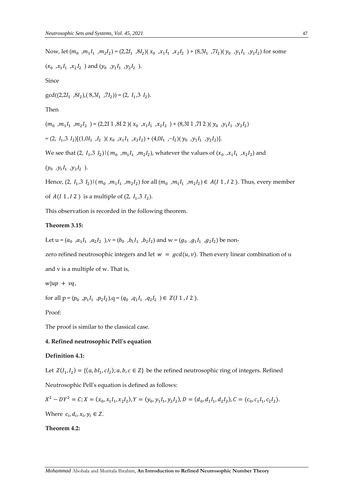```
Now, let (m_0, m_1l_1, m_2l_2) = (2,2l_1, 8l_2)(x_0, x_1l_1, x_2l_2) + (8,3l_1, 7l_2)(y_0, y_1l_1, y_2l_2) for some
(x_0, x_1I_1, x_2I_2) and (y_0, y_1I_1, y_2I_2).
Since
gcd((2,2I_1,8I_2),(8,3I_1,7I_2))=(2, I_1,3 I_2).Then
(m_0, m_1I_1, m_2I_2) = (2,2I 1, 8I 2) (x_0, x_1I_1, x_2I_2) + (8,3I 1,7I 2) (y_0, y_1I_1, y_2I_2)= (2, I_1, 3 I_2)[(1,0I_1, I_2) (x_0, x_1I_1, x_2I_2) + (4,0I_1, -I_2)(y_0, y_1I_1, y_2I_2)].We see that (2, I_1, 3, I_2) (m_0, m_1I_1, m_2I_2), whatever the values of (x_0, x_1I_1, x_2I_2) and
(y_0, y_1l_1, y_2l_2).
```
Hence,  $(2, I_1, 3, I_2) | (m_0, m_1 I_1, m_2 I_2)$  for all  $(m_0, m_1 I_1, m_2 I_2) \in A(I_1, I_2)$ . Thus, every member of  $A(I1, I2)$  is a multiple of  $(2, I_1, 3 I_2)$ .

This observation is recorded in the following theorem.

# **Theorem 3.15:**

Let  $u = (a_0, a_1l_1, a_2l_2)$ ,  $v = (b_0, b_1l_1, b_2l_2)$  and  $w = (g_0, g_1l_1, g_2l_2)$  be non-

zero refined neutrosophic integers and let  $w = \gcd(u, v)$ . Then every linear combination of u

and v is a multiple of w. That is,

 $w | up + vq,$ 

for all  $p = (p_0, p_1I_1, p_2I_2), q = (q_0, q_1I_1, q_2I_2) \in Z(I1, I2)$ .

Proof:

The proof is similar to the classical case.

# **4. Refined neutrosophic Pell's equation**

# **Definition 4.1:**

Let  $Z(I_1, I_2) = \{(a, bl_1, cl_2)$ ;  $a, b, c \in Z\}$  be the refined neutrosophic ring of integers. Refined

Neutrosophic Pell's equation is defined as follows:

$$
X^2 - DY^2 = C; X = (x_0, x_1I_1, x_2I_2), Y = (y_0, y_1I_1, y_2I_2), D = (d_0, d_1I_1, d_2I_2), C = (c_0, c_1I_1, c_2I_2).
$$

Where  $c_i, d_i, x_i, y_i \in Z$ .

# **Theorem 4.2:**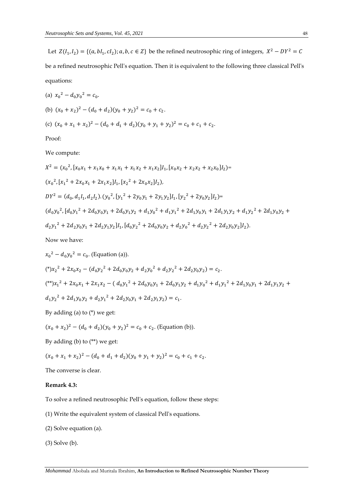Let  $Z(I_1, I_2) = \{(a, bl_1, cl_2) : a, b, c \in Z\}$  be the refined neutrosophic ring of integers,  $X^2 - DY^2 = C$ be a refined neutrosophic Pell's equation. Then it is equivalent to the following three classical Pell's equations:

(a) 
$$
x_0^2 - d_0 y_0^2 = c_0
$$
.  
\n(b)  $(x_0 + x_2)^2 - (d_0 + d_2)(y_0 + y_2)^2 = c_0 + c_2$ .  
\n(c)  $(x_0 + x_1 + x_2)^2 - (d_0 + d_1 + d_2)(y_0 + y_1 + y_2)^2 = c_0 + c_1 + c_2$ .

Proof:

We compute:

$$
X^{2} = (x_{0}^{2}, [x_{0}x_{1} + x_{1}x_{0} + x_{1}x_{1} + x_{1}x_{2} + x_{1}x_{2}]I_{1}, [x_{0}x_{2} + x_{2}x_{2} + x_{2}x_{0}]I_{2}) =
$$
  
\n
$$
(x_{0}^{2}, [x_{1}^{2} + 2x_{0}x_{1} + 2x_{1}x_{2}]I_{1}, [x_{2}^{2} + 2x_{0}x_{2}]I_{2}),
$$
  
\n
$$
DY^{2} = (d_{0}, d_{1}I_{1}, d_{2}I_{2}). (y_{0}^{2}, [y_{1}^{2} + 2y_{0}y_{1} + 2y_{1}y_{2}]I_{1}, [y_{2}^{2} + 2y_{0}y_{2}]I_{2}) =
$$
  
\n
$$
(d_{0}y_{0}^{2}, [d_{0}y_{1}^{2} + 2d_{0}y_{0}y_{1} + 2d_{0}y_{1}y_{2} + d_{1}y_{0}^{2} + d_{1}y_{1}^{2} + 2d_{1}y_{0}y_{1} + 2d_{1}y_{1}y_{2} + d_{1}y_{2}^{2} + 2d_{1}y_{0}y_{2} +
$$
  
\n
$$
d_{2}y_{1}^{2} + 2d_{2}y_{0}y_{1} + 2d_{2}y_{1}y_{2}]I_{1}, [d_{0}y_{2}^{2} + 2d_{0}y_{0}y_{2} + d_{2}y_{0}^{2} + d_{2}y_{2}^{2} + 2d_{2}y_{0}y_{2}]I_{2}).
$$
  
\nNow we have:

Now we have:

$$
x_0^2 - d_0 y_0^2 = c_0. \text{ (Equation (a))}.
$$
\n
$$
({}^*)x_2^2 + 2x_0 x_2 - (d_0 y_2^2 + 2d_0 y_0 y_2 + d_2 y_0^2 + d_2 y_2^2 + 2d_2 y_0 y_2) = c_2.
$$
\n
$$
({}^{**})x_1^2 + 2x_0 x_1 + 2x_1 x_2 - (d_0 y_1^2 + 2d_0 y_0 y_1 + 2d_0 y_1 y_2 + d_1 y_0^2 + d_1 y_1^2 + 2d_1 y_0 y_1 + 2d_1 y_1 y_2 + d_1 y_2^2 + 2d_1 y_0 y_2 + d_2 y_1^2 + 2d_2 y_0 y_1 + 2d_2 y_1 y_2) = c_1.
$$

By adding (a) to (\*) we get:

$$
(x_0 + x_2)^2 - (d_0 + d_2)(y_0 + y_2)^2 = c_0 + c_2.
$$
 (Equation (b)).

By adding (b) to (\*\*) we get:

$$
(x_0 + x_1 + x_2)^2 - (d_0 + d_1 + d_2)(y_0 + y_1 + y_2)^2 = c_0 + c_1 + c_2.
$$

The converse is clear.

# **Remark 4.3:**

To solve a refined neutrosophic Pell's equation, follow these steps:

- (1) Write the equivalent system of classical Pell's equations.
- (2) Solve equation (a).
- (3) Solve (b).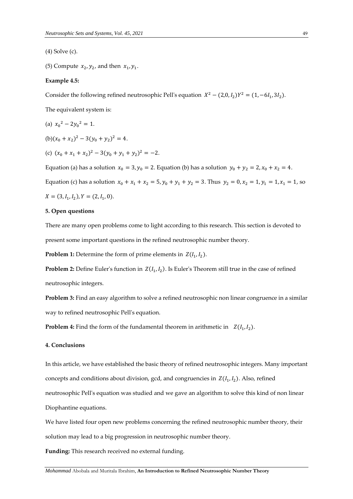(4) Solve (c).

(5) Compute  $x_2, y_2$ , and then  $x_1, y_1$ .

# **Example 4.5:**

Consider the following refined neutrosophic Pell's equation  $X^2 - (2,0, I_2)Y^2 = (1, -6I_1, 3I_2)$ .

The equivalent system is:

(a) 
$$
x_0^2 - 2y_0^2 = 1
$$
.

 $(b)(x_0 + x_2)^2 - 3(y_0 + y_2)^2 = 4.$ 

(c)  $(x_0 + x_1 + x_2)^2 - 3(y_0 + y_1 + y_2)^2 = -2.$ 

Equation (a) has a solution  $x_0 = 3$ ,  $y_0 = 2$ . Equation (b) has a solution  $y_0 + y_2 = 2$ ,  $x_0 + x_2 = 4$ . Equation (c) has a solution  $x_0 + x_1 + x_2 = 5$ ,  $y_0 + y_1 + y_2 = 3$ . Thus  $y_2 = 0$ ,  $x_2 = 1$ ,  $y_1 = 1$ ,  $x_1 = 1$ , so  $X = (3, I<sub>1</sub>, I<sub>2</sub>), Y = (2, I<sub>1</sub>, 0).$ 

# **5. Open questions**

There are many open problems come to light according to this research. This section is devoted to present some important questions in the refined neutrosophic number theory.

**Problem 1:** Determine the form of prime elements in  $Z(I_1, I_2)$ .

**Problem 2:** Define Euler's function in  $Z(I_1, I_2)$ . Is Euler's Theorem still true in the case of refined neutrosophic integers.

**Problem 3:** Find an easy algorithm to solve a refined neutrosophic non linear congruence in a similar way to refined neutrosophic Pell's equation.

**Problem 4:** Find the form of the fundamental theorem in arithmetic in  $Z(I_1, I_2)$ .

# **4. Conclusions**

In this article, we have established the basic theory of refined neutrosophic integers. Many important concepts and conditions about division, gcd, and congruencies in  $Z(I_1, I_2)$ . Also, refined neutrosophic Pell's equation was studied and we gave an algorithm to solve this kind of non linear Diophantine equations.

We have listed four open new problems concerning the refined neutrosophic number theory, their solution may lead to a big progression in neutrosophic number theory.

**Funding:** This research received no external funding.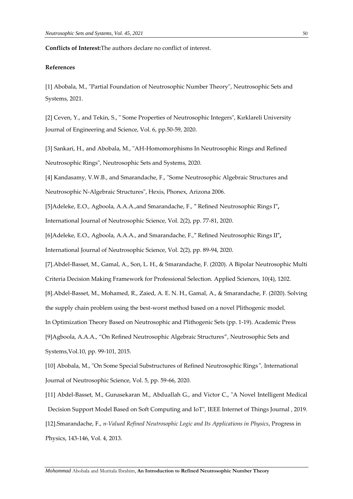**Conflicts of Interest:**The authors declare no conflict of interest.

# **References**

[1] Abobala, M., "Partial Foundation of Neutrosophic Number Theory", Neutrosophic Sets and Systems, 2021.

[2] Ceven, Y., and Tekin, S., " Some Properties of Neutrosophic Integers", Kırklareli University Journal of Engineering and Science, Vol. 6, pp.50-59, 2020.

[3] Sankari, H., and Abobala, M., "AH-Homomorphisms In Neutrosophic Rings and Refined Neutrosophic Rings", Neutrosophic Sets and Systems, 2020.

[4] Kandasamy, V.W.B., and Smarandache, F., "Some Neutrosophic Algebraic Structures and Neutrosophic N-Algebraic Structures", Hexis, Phonex, Arizona 2006.

[5]Adeleke, E.O., Agboola, A.A.A.,and Smarandache, F., **"** Refined Neutrosophic Rings I**",** International Journal of Neutrosophic Science, Vol. 2(2), pp. 77-81, 2020.

[6]Adeleke, E.O., Agboola, A.A.A., and Smarandache, F.,**"** Refined Neutrosophic Rings II**",** International Journal of Neutrosophic Science, Vol. 2(2), pp. 89-94, 2020.

[7].Abdel-Basset, M., Gamal, A., Son, L. H., & Smarandache, F. (2020). A Bipolar Neutrosophic Multi Criteria Decision Making Framework for Professional Selection. Applied Sciences, 10(4), 1202.

[8].Abdel-Basset, M., Mohamed, R., Zaied, A. E. N. H., Gamal, A., & Smarandache, F. (2020). Solving

the supply chain problem using the best-worst method based on a novel Plithogenic model.

In Optimization Theory Based on Neutrosophic and Plithogenic Sets (pp. 1-19). Academic Press

[9]Agboola, A.A.A., "On Refined Neutrosophic Algebraic Structures", Neutrosophic Sets and

Systems,Vol.10, pp. 99-101, 2015.

[10] Abobala, M., "On Some Special Substructures of Refined Neutrosophic Rings*",* International Journal of Neutrosophic Science, Vol. 5, pp. 59-66, 2020.

[11] Abdel-Basset, M., Gunasekaran M., Abduallah G., and Victor C., "A Novel Intelligent Medical Decision Support Model Based on Soft Computing and IoT", IEEE Internet of Things Journal , 2019. [12].Smarandache, F., *n-Valued Refined Neutrosophic Logic and Its Applications in Physics*, Progress in Physics, 143-146, Vol. 4, 2013.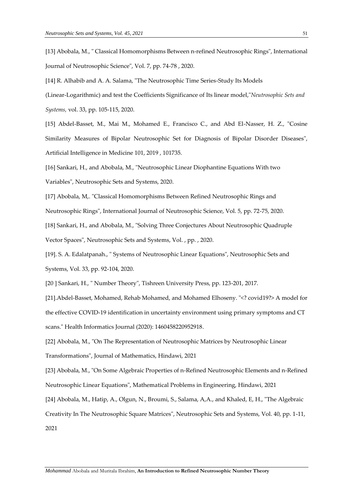[13] Abobala, M., " Classical Homomorphisms Between n-refined Neutrosophic Rings", International Journal of Neutrosophic Science", Vol. 7, pp. 74-78 , 2020.

[14] R. Alhabib and A. A. Salama, "The Neutrosophic Time Series-Study Its Models

(Linear-Logarithmic) and test the Coefficients Significance of Its linear model,"*Neutrosophic Sets and Systems,* vol. 33, pp. 105-115, 2020.

[15] Abdel-Basset, M., Mai M., Mohamed E., Francisco C., and Abd El-Nasser, H. Z., "Cosine Similarity Measures of Bipolar Neutrosophic Set for Diagnosis of Bipolar Disorder Diseases", Artificial Intelligence in Medicine 101, 2019 , 101735.

[16] Sankari, H., and Abobala, M., "Neutrosophic Linear Diophantine Equations With two Variables", Neutrosophic Sets and Systems, 2020.

[17] Abobala, M,. "Classical Homomorphisms Between Refined Neutrosophic Rings and

Neutrosophic Rings", International Journal of Neutrosophic Science, Vol. 5, pp. 72-75, 2020.

[18] Sankari, H., and Abobala, M., "Solving Three Conjectures About Neutrosophic Quadruple Vector Spaces", Neutrosophic Sets and Systems, Vol. , pp. , 2020.

[19]. S. A. Edalatpanah., " Systems of Neutrosophic Linear Equations", Neutrosophic Sets and Systems, Vol. 33, pp. 92-104, 2020.

[20 ] Sankari, H., " Number Theory", Tishreen University Press, pp. 123-201, 2017.

[21].Abdel-Basset, Mohamed, Rehab Mohamed, and Mohamed Elhoseny. "<? covid19?> A model for the effective COVID-19 identification in uncertainty environment using primary symptoms and CT scans." Health Informatics Journal (2020): 1460458220952918.

[22] Abobala, M., "On The Representation of Neutrosophic Matrices by Neutrosophic Linear Transformations", Journal of Mathematics, Hindawi, 2021

[23] Abobala, M., "On Some Algebraic Properties of n-Refined Neutrosophic Elements and n-Refined Neutrosophic Linear Equations", Mathematical Problems in Engineering, Hindawi, 2021

[24] Abobala, M., Hatip, A., Olgun, N., Broumi, S., Salama, A,A., and Khaled, E, H., "The Algebraic

Creativity In The Neutrosophic Square Matrices", Neutrosophic Sets and Systems, Vol. 40, pp. 1-11,

2021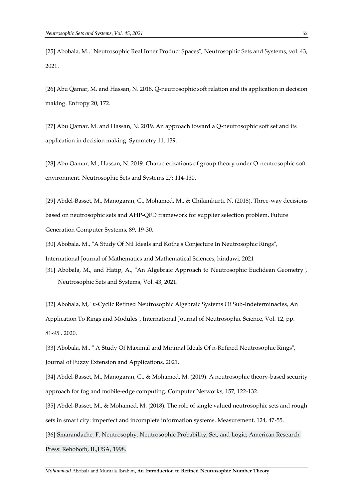[25] Abobala, M., "Neutrosophic Real Inner Product Spaces", Neutrosophic Sets and Systems, vol. 43, 2021.

[26] Abu Qamar, M. and Hassan, N. 2018. Q-neutrosophic soft relation and its application in decision making. Entropy 20, 172.

[27] Abu Qamar, M. and Hassan, N. 2019. An approach toward a Q-neutrosophic soft set and its application in decision making. Symmetry 11, 139.

[28] Abu Qamar, M., Hassan, N. 2019. Characterizations of group theory under Q-neutrosophic soft environment. Neutrosophic Sets and Systems 27: 114-130.

[29] Abdel-Basset, M., Manogaran, G., Mohamed, M., & Chilamkurti, N. (2018). Three-way decisions based on neutrosophic sets and AHP-QFD framework for supplier selection problem. Future Generation Computer Systems, 89, 19-30.

[30] Abobala, M., "A Study Of Nil Ideals and Kothe's Conjecture In Neutrosophic Rings",

International Journal of Mathematics and Mathematical Sciences, hindawi, 2021

[31] Abobala, M., and Hatip, A., "An Algebraic Approach to Neutrosophic Euclidean Geometry", Neutrosophic Sets and Systems, Vol. 43, 2021.

[32] Abobala, M, "*n-*Cyclic Refined Neutrosophic Algebraic Systems Of Sub-Indeterminacies, An Application To Rings and Modules", International Journal of Neutrosophic Science, Vol. 12, pp. 81-95 . 2020.

[33] Abobala, M., " A Study Of Maximal and Minimal Ideals Of n-Refined Neutrosophic Rings", Journal of Fuzzy Extension and Applications, 2021.

[34] Abdel-Basset, M., Manogaran, G., & Mohamed, M. (2019). A neutrosophic theory-based security approach for fog and mobile-edge computing. Computer Networks, 157, 122-132.

[35] Abdel-Basset, M., & Mohamed, M. (2018). The role of single valued neutrosophic sets and rough sets in smart city: imperfect and incomplete information systems. Measurement, 124, 47-55.

[36] Smarandache, F. Neutrosophy. Neutrosophic Probability, Set, and Logic; American Research Press: Rehoboth, IL,USA, 1998.